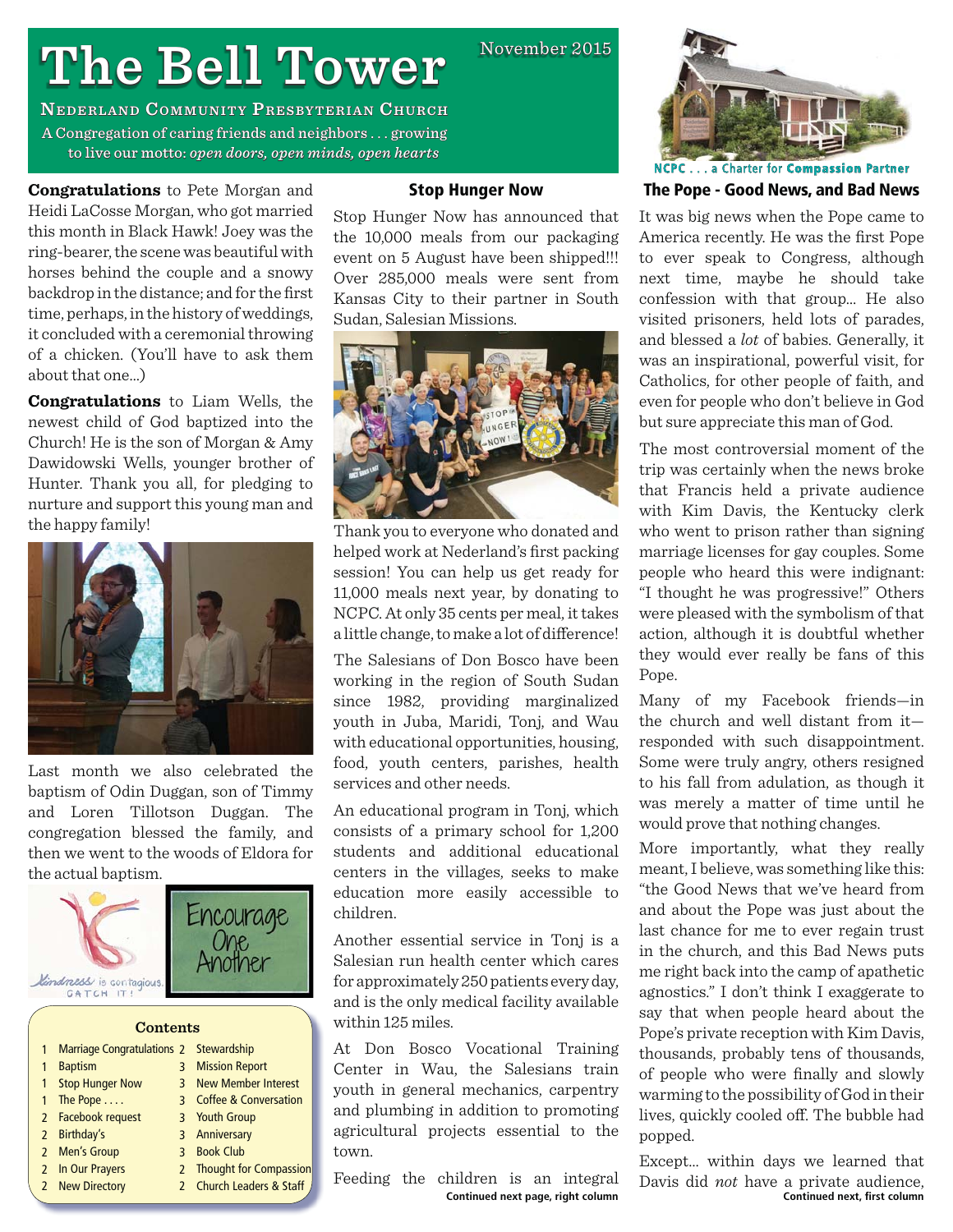# **The Bell Tower**

**NEDERLAND COMMUNITY PRESBYTERIAN CHURCH** A Congregation of caring friends and neighbors  $\dots$  growing to live our motto: open doors, open minds, open hearts

**Congratulations** to Pete Morgan and Heidi LaCosse Morgan, who got married this month in Black Hawk! Joey was the ring-bearer, the scene was beautiful with horses behind the couple and a snowy backdrop in the distance; and for the first time, perhaps, in the history of weddings, it concluded with a ceremonial throwing of a chicken. (You'll have to ask them about that one…)

**Congratulations** to Liam Wells, the newest child of God baptized into the Church! He is the son of Morgan & Amy Dawidowski Wells, younger brother of Hunter. Thank you all, for pledging to nurture and support this young man and the happy family!



Last month we also celebrated the baptism of Odin Duggan, son of Timmy and Loren Tillotson Duggan. The congregation blessed the family, and then we went to the woods of Eldora for the actual baptism.



|   | <b>Marriage Congratulations 2 Stewardship</b> |   |                          |
|---|-----------------------------------------------|---|--------------------------|
| 1 | <b>Baptism</b>                                | 3 | <b>Mission Report</b>    |
|   | <b>Stop Hunger Now</b>                        |   | 3 New Member Interest    |
|   | The Pope                                      |   | 3 Coffee & Conversation  |
|   | 2 Facebook request                            |   | 3 Youth Group            |
|   | 2 Birthday's                                  |   | 3 Anniversary            |
|   | 2 Men's Group                                 |   | 3 Book Club              |
|   | 2 In Our Prayers                              |   | 2 Thought for Compassion |
|   | 2 New Directory                               |   | 2 Church Leaders & Staff |
|   |                                               |   |                          |

# **Stop Hunger Now**

November 2015

Stop Hunger Now has announced that the 10,000 meals from our packaging event on 5 August have been shipped!!! Over 285,000 meals were sent from Kansas City to their partner in South Sudan, Salesian Missions.



Thank you to everyone who donated and helped work at Nederland's first packing session! You can help us get ready for 11,000 meals next year, by donating to NCPC. At only 35 cents per meal, it takes a little change, to make a lot of difference!

The Salesians of Don Bosco have been working in the region of South Sudan since 1982, providing marginalized youth in Juba, Maridi, Tonj, and Wau with educational opportunities, housing, food, youth centers, parishes, health services and other needs.

An educational program in Tonj, which consists of a primary school for 1,200 students and additional educational centers in the villages, seeks to make education more easily accessible to children.

Another essential service in Tonj is a Salesian run health center which cares for approximately 250 patients every day, and is the only medical facility available within 125 miles.

At Don Bosco Vocational Training Center in Wau, the Salesians train youth in general mechanics, carpentry and plumbing in addition to promoting agricultural projects essential to the town.

Feeding the children is an integral **Continued next page, right column** 



**NCPC**. . . a Charter for **Compassion ompassionPartner The Pope - Good News, and Bad News**

It was big news when the Pope came to America recently. He was the first Pope to ever speak to Congress, although next time, maybe he should take confession with that group… He also visited prisoners, held lots of parades, and blessed a *lot* of babies. Generally, it was an inspirational, powerful visit, for Catholics, for other people of faith, and even for people who don't believe in God but sure appreciate this man of God.

The most controversial moment of the trip was certainly when the news broke that Francis held a private audience with Kim Davis, the Kentucky clerk who went to prison rather than signing marriage licenses for gay couples. Some people who heard this were indignant: "I thought he was progressive!" Others were pleased with the symbolism of that action, although it is doubtful whether they would ever really be fans of this Pope.

Many of my Facebook friends—in the church and well distant from it responded with such disappointment. Some were truly angry, others resigned to his fall from adulation, as though it was merely a matter of time until he would prove that nothing changes.

More importantly, what they really meant, I believe, was something like this: "the Good News that we've heard from and about the Pope was just about the last chance for me to ever regain trust in the church, and this Bad News puts me right back into the camp of apathetic agnostics." I don't think I exaggerate to say that when people heard about the Pope's private reception with Kim Davis, thousands, probably tens of thousands, of people who were finally and slowly warming to the possibility of God in their lives, quickly cooled off. The bubble had popped.

Except… within days we learned that Davis did *not* have a private audience,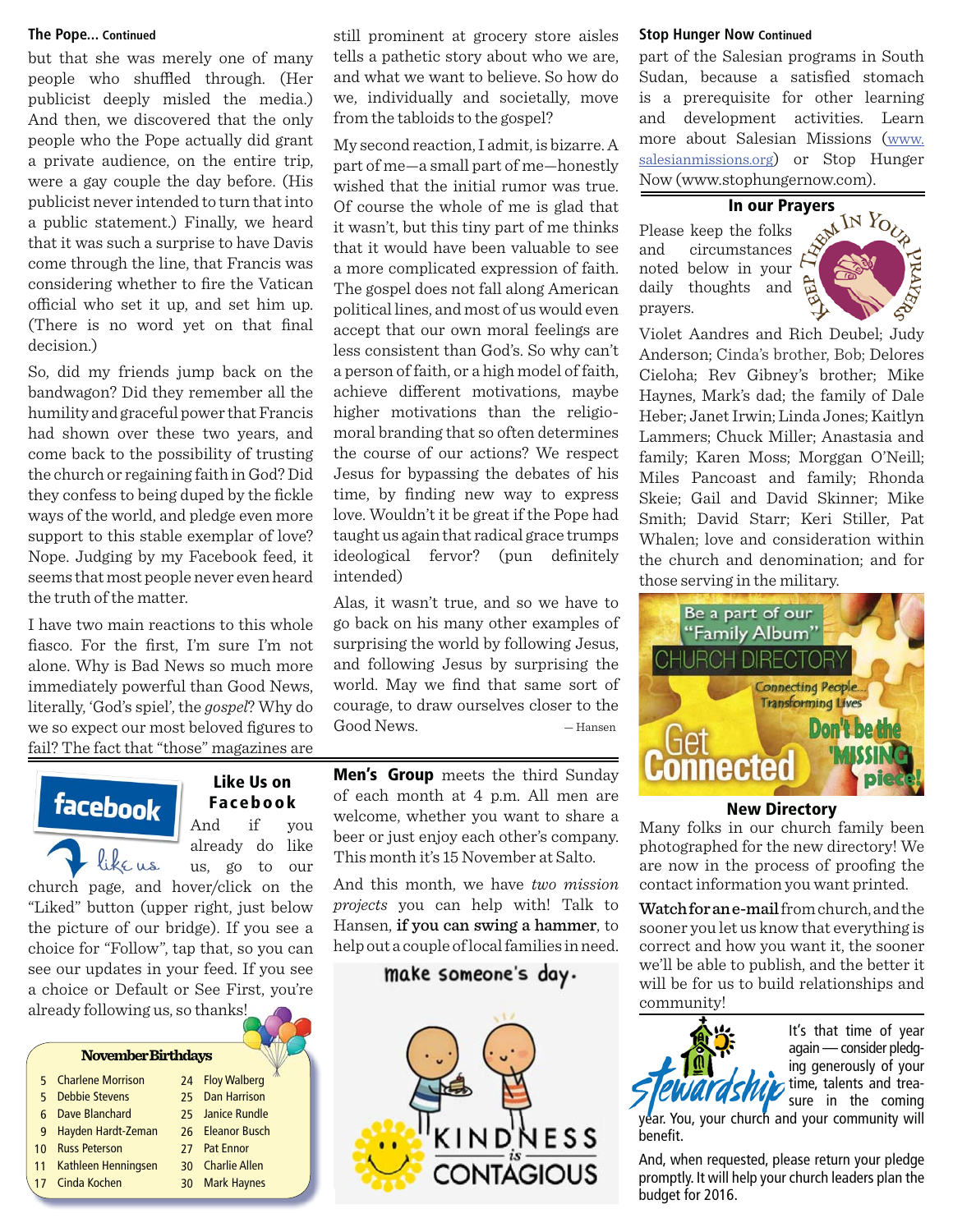# **The Pope... Continued**

but that she was merely one of many people who shuffled through. (Her publicist deeply misled the media.) And then, we discovered that the only people who the Pope actually did grant a private audience, on the entire trip, were a gay couple the day before. (His publicist never intended to turn that into a public statement.) Finally, we heard that it was such a surprise to have Davis come through the line, that Francis was considering whether to fire the Vatican offi cial who set it up, and set him up. (There is no word yet on that final decision.)

So, did my friends jump back on the bandwagon? Did they remember all the humility and graceful power that Francis had shown over these two years, and come back to the possibility of trusting the church or regaining faith in God? Did they confess to being duped by the fickle ways of the world, and pledge even more support to this stable exemplar of love? Nope. Judging by my Facebook feed, it seems that most people never even heard the truth of the matter.

I have two main reactions to this whole fiasco. For the first, I'm sure I'm not alone. Why is Bad News so much more immediately powerful than Good News, literally, 'God's spiel', the *gospel*? Why do we so expect our most beloved figures to fail? The fact that "those" magazines are

# **Like Us on**  facebook And if you already do like like us us, go to our

church page, and hover/click on the "Liked" button (upper right, just below the picture of our bridge). If you see a choice for "Follow", tap that, so you can see our updates in your feed. If you see a choice or Default or See First, you're already following us, so thanks!

### **November Birthdays**

|    | 5 Charlene Morrison    | 24 Floy Walberg  |
|----|------------------------|------------------|
| 5  | <b>Debbie Stevens</b>  | 25 Dan Harrison  |
| ĥ  | Dave Blanchard         | 25 Janice Rundle |
|    | 9 Hayden Hardt-Zeman   | 26 Eleanor Busch |
| 10 | <b>Russ Peterson</b>   | 27 Pat Ennor     |
|    | 11 Kathleen Henningsen | 30 Charlie Allen |
|    | 17 Cinda Kochen        | 30 Mark Haynes   |
|    |                        |                  |

still prominent at grocery store aisles tells a pathetic story about who we are, and what we want to believe. So how do we, individually and societally, move from the tabloids to the gospel?

My second reaction, I admit, is bizarre. A part of me—a small part of me—honestly wished that the initial rumor was true. Of course the whole of me is glad that it wasn't, but this tiny part of me thinks that it would have been valuable to see a more complicated expression of faith. The gospel does not fall along American political lines, and most of us would even accept that our own moral feelings are less consistent than God's. So why can't a person of faith, or a high model of faith, achieve different motivations, maybe higher motivations than the religiomoral branding that so often determines the course of our actions? We respect Jesus for bypassing the debates of his time, by finding new way to express love. Wouldn't it be great if the Pope had taught us again that radical grace trumps ideological fervor? (pun definitely intended)

Alas, it wasn't true, and so we have to go back on his many other examples of surprising the world by following Jesus, and following Jesus by surprising the world. May we find that same sort of courage, to draw ourselves closer to the Good News. — Hansen

**Men's Group** meets the third Sunday of each month at 4 p.m. All men are **Facebook** <sup>Of each</sup> month at 4 p.m. All men are **New Directory** beer or just enjoy each other's company. This month it's 15 November at Salto.

> And this month, we have *two mission projects* you can help with! Talk to Hansen, if you can swing a hammer, to help out a couple of local families in need.

# make someone's day.



### **Stop Hunger Now Continued**

part of the Salesian programs in South Sudan, because a satisfied stomach is a prerequisite for other learning and development activities. Learn more about Salesian Missions (www. salesianmissions.org) or Stop Hunger Now (www.stophungernow.com).

Please keep the folks and circumstances noted below in your daily thoughts and prayers.



Violet Aandres and Rich Deubel; Judy Anderson; Cinda's brother, Bob; Delores Cieloha; Rev Gibney's brother; Mike Haynes, Mark's dad; the family of Dale Heber; Janet Irwin; Linda Jones; Kaitlyn Lammers; Chuck Miller; Anastasia and family; Karen Moss; Morggan O'Neill; Miles Pancoast and family; Rhonda Skeie; Gail and David Skinner; Mike Smith; David Starr; Keri Stiller, Pat Whalen; love and consideration within the church and denomination; and for those serving in the military.



Many folks in our church family been photographed for the new directory! We are now in the process of proofing the contact information you want printed.

Watch for an e-mail from church, and the sooner you let us know that everything is correct and how you want it, the sooner we'll be able to publish, and the better it will be for us to build relationships and community!



It's that time of year again — consider pledging generously of your time, talents and treasure in the coming

year. You, your church and your community will benefit.

And, when requested, please return your pledge promptly. It will help your church leaders plan the budget for 2016.